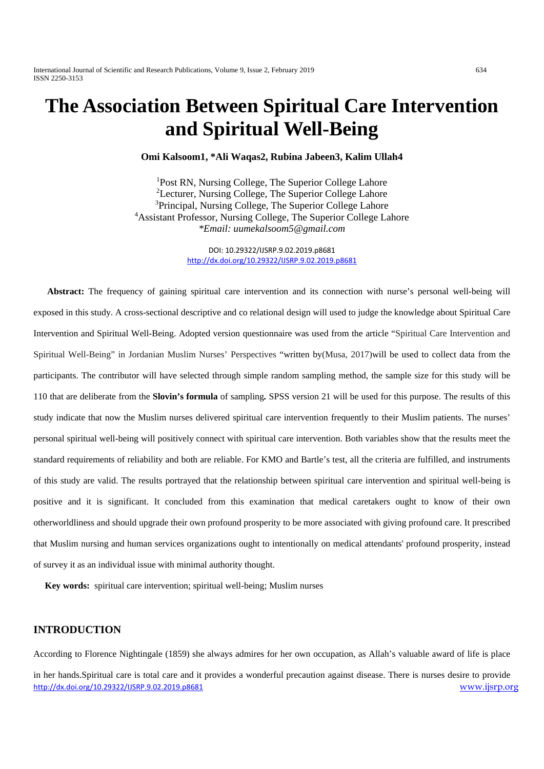International Journal of Scientific and Research Publications, Volume 9, Issue 2, February 2019 634 ISSN 2250-3153

# **The Association Between Spiritual Care Intervention and Spiritual Well-Being**

**Omi Kalsoom1, \*Ali Waqas2, Rubina Jabeen3, Kalim Ullah4**

<sup>1</sup>Post RN, Nursing College, The Superior College Lahore <sup>2</sup>Lecturer, Nursing College, The Superior College Lahore <sup>3</sup>Principal, Nursing College, The Superior College Lahore 4 Assistant Professor, Nursing College, The Superior College Lahore *\*Email: uumekalsoom5@gmail.com*

> DOI: 10.29322/IJSRP.9.02.2019.p8681 <http://dx.doi.org/10.29322/IJSRP.9.02.2019.p8681>

 **Abstract:** The frequency of gaining spiritual care intervention and its connection with nurse's personal well-being will exposed in this study. A cross-sectional descriptive and co relational design will used to judge the knowledge about Spiritual Care Intervention and Spiritual Well-Being. Adopted version questionnaire was used from the article "Spiritual Care Intervention and Spiritual Well-Being" in Jordanian Muslim Nurses' Perspectives "written by[\(Musa, 2017\)](#page-13-0)will be used to collect data from the participants. The contributor will have selected through simple random sampling method, the sample size for this study will be 110 that are deliberate from the **Slovin's formula** of sampling*.* SPSS version 21 will be used for this purpose. The results of this study indicate that now the Muslim nurses delivered spiritual care intervention frequently to their Muslim patients. The nurses' personal spiritual well-being will positively connect with spiritual care intervention. Both variables show that the results meet the standard requirements of reliability and both are reliable. For KMO and Bartle's test, all the criteria are fulfilled, and instruments of this study are valid. The results portrayed that the relationship between spiritual care intervention and spiritual well-being is positive and it is significant. It concluded from this examination that medical caretakers ought to know of their own otherworldliness and should upgrade their own profound prosperity to be more associated with giving profound care. It prescribed that Muslim nursing and human services organizations ought to intentionally on medical attendants' profound prosperity, instead of survey it as an individual issue with minimal authority thought.

 **Key words:** spiritual care intervention; spiritual well-being; Muslim nurses

# **INTRODUCTION**

According to Florence Nightingale (1859) she always admires for her own occupation, as Allah's valuable award of life is place

<http://dx.doi.org/10.29322/IJSRP.9.02.2019.p8681> [www.ijsrp.org](http://ijsrp.org/) in her hands.Spiritual care is total care and it provides a wonderful precaution against disease. There is nurses desire to provide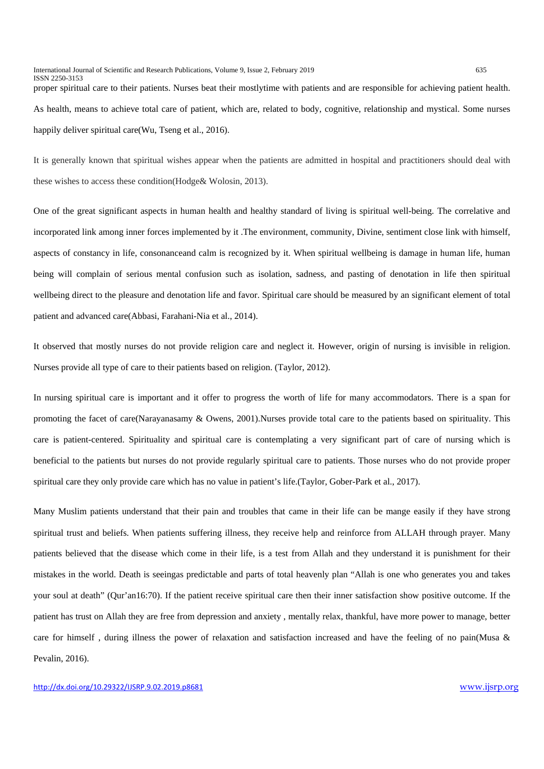International Journal of Scientific and Research Publications, Volume 9, Issue 2, February 2019 635 ISSN 2250-3153

proper spiritual care to their patients. Nurses beat their mostlytime with patients and are responsible for achieving patient health. As health, means to achieve total care of patient, which are, related to body, cognitive, relationship and mystical. Some nurses happily deliver spiritual care[\(Wu, Tseng et al., 2016\)](#page-14-0).

It is generally known that spiritual wishes appear when the patients are admitted in hospital and practitioners should deal with these wishes to access these condition[\(Hodge& Wolosin, 2013\)](#page-13-1).

One of the great significant aspects in human health and healthy standard of living is spiritual well-being. The correlative and incorporated link among inner forces implemented by it .The environment, community, Divine, sentiment close link with himself, aspects of constancy in life, consonanceand calm is recognized by it. When spiritual wellbeing is damage in human life, human being will complain of serious mental confusion such as isolation, sadness, and pasting of denotation in life then spiritual wellbeing direct to the pleasure and denotation life and favor. Spiritual care should be measured by an significant element of total patient and advanced care[\(Abbasi, Farahani-Nia et al., 2014\)](#page-13-2).

It observed that mostly nurses do not provide religion care and neglect it. However, origin of nursing is invisible in religion. Nurses provide all type of care to their patients based on religion. [\(Taylor, 2012\)](#page-14-1).

In nursing spiritual care is important and it offer to progress the worth of life for many accommodators. There is a span for promoting the facet of care[\(Narayanasamy & Owens, 2001\)](#page-13-3).Nurses provide total care to the patients based on spirituality. This care is patient-centered. Spirituality and spiritual care is contemplating a very significant part of care of nursing which is beneficial to the patients but nurses do not provide regularly spiritual care to patients. Those nurses who do not provide proper spiritual care they only provide care which has no value in patient's life.[\(Taylor, Gober-Park et al., 2017\)](#page-14-2).

Many Muslim patients understand that their pain and troubles that came in their life can be mange easily if they have strong spiritual trust and beliefs. When patients suffering illness, they receive help and reinforce from ALLAH through prayer. Many patients believed that the disease which come in their life, is a test from Allah and they understand it is punishment for their mistakes in the world. Death is seeingas predictable and parts of total heavenly plan "Allah is one who generates you and takes your soul at death" (Qur'an16:70). If the patient receive spiritual care then their inner satisfaction show positive outcome. If the patient has trust on Allah they are free from depression and anxiety , mentally relax, thankful, have more power to manage, better care for himself , during illness the power of relaxation and satisfaction increased and have the feeling of no pain[\(Musa &](#page-13-4)  [Pevalin, 2016\)](#page-13-4).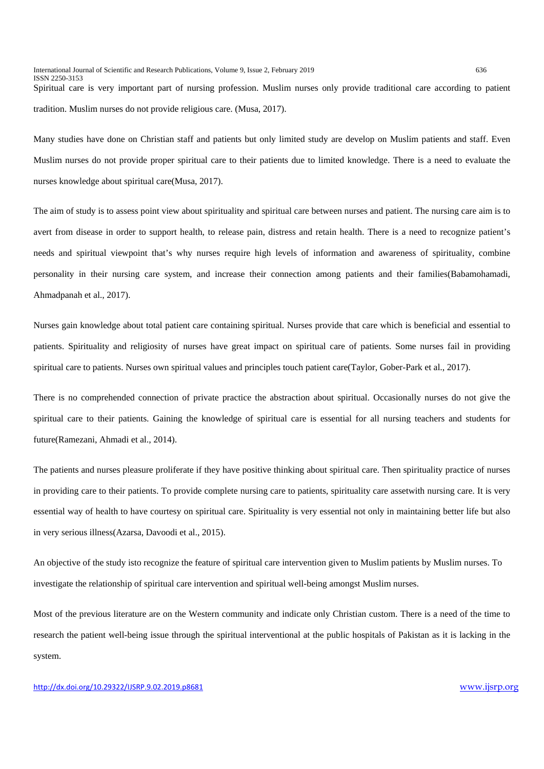tradition. Muslim nurses do not provide religious care. [\(Musa,](#page-13-5) 2017).

Many studies have done on Christian staff and patients but only limited study are develop on Muslim patients and staff. Even Muslim nurses do not provide proper spiritual care to their patients due to limited knowledge. There is a need to evaluate the nurses knowledge about spiritual care[\(Musa, 2017\)](#page-13-5).

The aim of study is to assess point view about spirituality and spiritual care between nurses and patient. The nursing care aim is to avert from disease in order to support health, to release pain, distress and retain health. There is a need to recognize patient's needs and spiritual viewpoint that's why nurses require high levels of information and awareness of spirituality, combine personality in their nursing care system, and increase their connection among patients and their families[\(Babamohamadi,](#page-13-6)  [Ahmadpanah et al., 2017\)](#page-13-6).

Nurses gain knowledge about total patient care containing spiritual. Nurses provide that care which is beneficial and essential to patients. Spirituality and religiosity of nurses have great impact on spiritual care of patients. Some nurses fail in providing spiritual care to patients. Nurses own spiritual values and principles touch patient care[\(Taylor, Gober-Park et al., 2017\)](#page-14-2).

There is no comprehended connection of private practice the abstraction about spiritual. Occasionally nurses do not give the spiritual care to their patients. Gaining the knowledge of spiritual care is essential for all nursing teachers and students for future[\(Ramezani, Ahmadi et al., 2014\)](#page-14-3).

The patients and nurses pleasure proliferate if they have positive thinking about spiritual care. Then spirituality practice of nurses in providing care to their patients. To provide complete nursing care to patients, spirituality care assetwith nursing care. It is very essential way of health to have courtesy on spiritual care. Spirituality is very essential not only in maintaining better life but also in very serious illness[\(Azarsa, Davoodi et al., 2015\)](#page-13-0).

An objective of the study isto recognize the feature of spiritual care intervention given to Muslim patients by Muslim nurses. To investigate the relationship of spiritual care intervention and spiritual well-being amongst Muslim nurses.

Most of the previous literature are on the Western community and indicate only Christian custom. There is a need of the time to research the patient well-being issue through the spiritual interventional at the public hospitals of Pakistan as it is lacking in the system.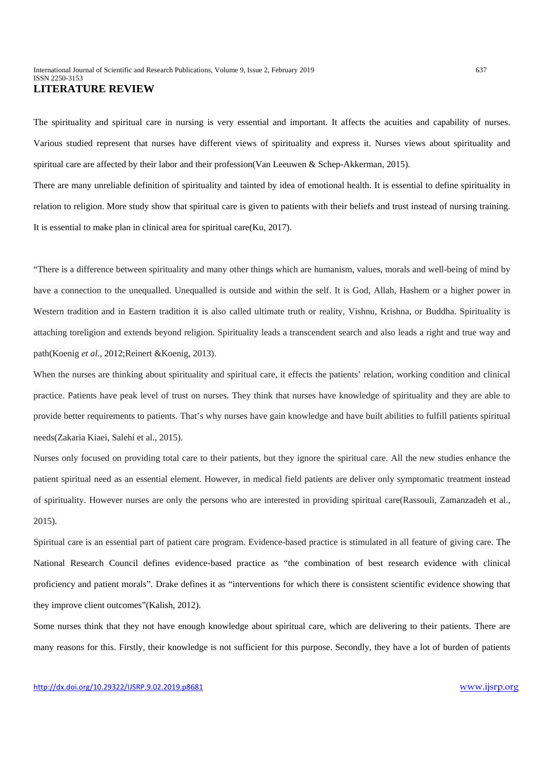The spirituality and spiritual care in nursing is very essential and important. It affects the acuities and capability of nurses. Various studied represent that nurses have different views of spirituality and express it. Nurses views about spirituality and spiritual care are affected by their labor and their profession[\(Van Leeuwen & Schep-Akkerman, 2015\)](#page-14-4).

There are many unreliable definition of spirituality and tainted by idea of emotional health. It is essential to define spirituality in relation to religion. More study show that spiritual care is given to patients with their beliefs and trust instead of nursing training. It is essential to make plan in clinical area for spiritual care[\(Ku, 2017\)](#page-13-7).

"There is a difference between spirituality and many other things which are humanism, values, morals and well-being of mind by have a connection to the unequalled. Unequalled is outside and within the self. It is God, Allah, Hashem or a higher power in Western tradition and in Eastern tradition it is also called ultimate truth or reality, Vishnu, Krishna, or Buddha. Spirituality is attaching toreligion and extends beyond religion. Spirituality leads a transcendent search and also leads a right and true way and path(Koenig *et al*., [2012](https://onlinelibrary.wiley.com/doi/full/10.1111/jan.12152#jan12152-bib-0034)[;Reinert &Koenig, 2013\)](#page-14-5).

When the nurses are thinking about spirituality and spiritual care, it effects the patients' relation, working condition and clinical practice. Patients have peak level of trust on nurses. They think that nurses have knowledge of spirituality and they are able to provide better requirements to patients. That's why nurses have gain knowledge and have built abilities to fulfill patients spiritual needs[\(Zakaria Kiaei, Salehi et al., 2015\)](#page-14-6).

Nurses only focused on providing total care to their patients, but they ignore the spiritual care. All the new studies enhance the patient spiritual need as an essential element. However, in medical field patients are deliver only symptomatic treatment instead of spirituality. However nurses are only the persons who are interested in providing spiritual care[\(Rassouli, Zamanzadeh et al.,](#page-14-7)  [2015\)](#page-14-7).

Spiritual care is an essential part of patient care program. Evidence-based practice is stimulated in all feature of giving care. The National Research Council defines evidence-based practice as "the combination of best research evidence with clinical proficiency and patient morals". Drake defines it as "interventions for which there is consistent scientific evidence showing that they improve client outcomes"[\(Kalish, 2012\)](#page-13-8).

Some nurses think that they not have enough knowledge about spiritual care, which are delivering to their patients. There are many reasons for this. Firstly, their knowledge is not sufficient for this purpose. Secondly, they have a lot of burden of patients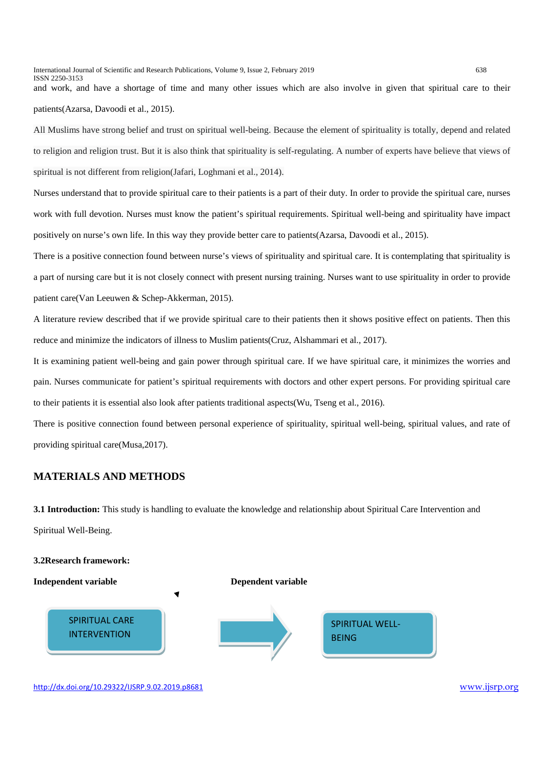International Journal of Scientific and Research Publications, Volume 9, Issue 2, February 2019 638 ISSN 2250-3153

and work, and have a shortage of time and many other issues which are also involve in given that spiritual care to their patients[\(Azarsa, Davoodi et al., 2015\)](#page-13-0).

All Muslims have strong belief and trust on spiritual well-being. Because the element of spirituality is totally, depend and related to religion and religion trust. But it is also think that spirituality is self-regulating. A number of experts have believe that views of spiritual is not different from religion[\(Jafari, Loghmani et al., 2014\)](#page-13-9).

Nurses understand that to provide spiritual care to their patients is a part of their duty. In order to provide the spiritual care, nurses work with full devotion. Nurses must know the patient's spiritual requirements. Spiritual well-being and spirituality have impact positively on nurse's own life. In this way they provide better care to patients[\(Azarsa, Davoodi et al., 2015\)](#page-13-0).

There is a positive connection found between nurse's views of spirituality and spiritual care. It is contemplating that spirituality is a part of nursing care but it is not closely connect with present nursing training. Nurses want to use spirituality in order to provide patient care[\(Van Leeuwen & Schep-Akkerman, 2015\)](#page-14-4).

A literature review described that if we provide spiritual care to their patients then it shows positive effect on patients. Then this reduce and minimize the indicators of illness to Muslim patients[\(Cruz, Alshammari et al., 2017\)](#page-13-10).

It is examining patient well-being and gain power through spiritual care. If we have spiritual care, it minimizes the worries and pain. Nurses communicate for patient's spiritual requirements with doctors and other expert persons. For providing spiritual care to their patients it is essential also look after patients traditional aspects[\(Wu, Tseng et al., 2016\)](#page-14-0).

There is positive connection found between personal experience of spirituality, spiritual well-being, spiritual values, and rate of providing spiritual care[\(Musa,2017\)](#page-13-5).

# **MATERIALS AND METHODS**

**3.1 Introduction:** This study is handling to evaluate the knowledge and relationship about Spiritual Care Intervention and Spiritual Well-Being.

#### **3.2Research framework:**



<http://dx.doi.org/10.29322/IJSRP.9.02.2019.p8681> [www.ijsrp.org](http://ijsrp.org/)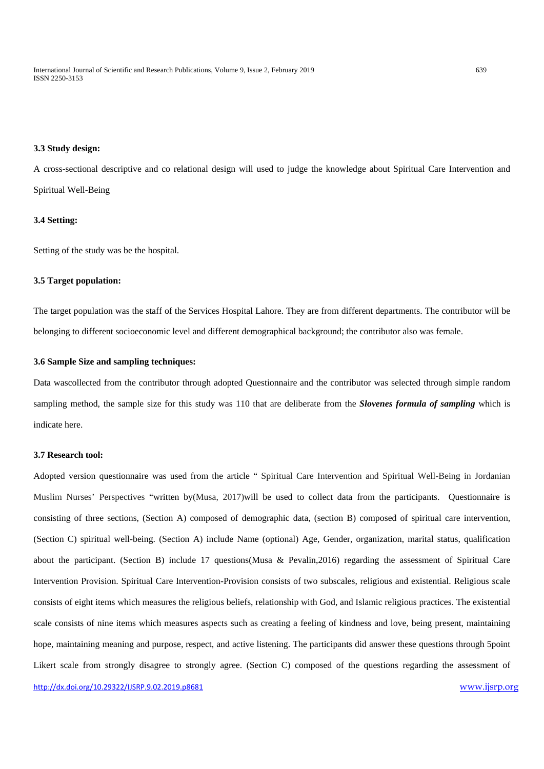International Journal of Scientific and Research Publications, Volume 9, Issue 2, February 2019 639 ISSN 2250-3153

#### **3.3 Study design:**

A cross-sectional descriptive and co relational design will used to judge the knowledge about Spiritual Care Intervention and Spiritual Well-Being

#### **3.4 Setting:**

Setting of the study was be the hospital.

#### **3.5 Target population:**

The target population was the staff of the Services Hospital Lahore. They are from different departments. The contributor will be belonging to different socioeconomic level and different demographical background; the contributor also was female.

#### **3.6 Sample Size and sampling techniques:**

Data wascollected from the contributor through adopted Questionnaire and the contributor was selected through simple random sampling method, the sample size for this study was 110 that are deliberate from the *Slovenes formula of sampling* which is indicate here.

## **3.7 Research tool:**

Adopted version questionnaire was used from the article " Spiritual Care Intervention and Spiritual Well-Being in Jordanian Muslim Nurses' Perspectives "written by[\(Musa, 2017\)](#page-13-0)will be used to collect data from the participants. Questionnaire is consisting of three sections, (Section A) composed of demographic data, (section B) composed of spiritual care intervention, (Section C) spiritual well-being. (Section A) include Name (optional) Age, Gender, organization, marital status, qualification about the participant. (Section B) include 17 questions[\(Musa & Pevalin,2016\)](#page-13-6) regarding the assessment of Spiritual Care Intervention Provision. Spiritual Care Intervention-Provision consists of two subscales, religious and existential. Religious scale consists of eight items which measures the religious beliefs, relationship with God, and Islamic religious practices. The existential scale consists of nine items which measures aspects such as creating a feeling of kindness and love, being present, maintaining hope, maintaining meaning and purpose, respect, and active listening. The participants did answer these questions through 5point Likert scale from strongly disagree to strongly agree. (Section C) composed of the questions regarding the assessment of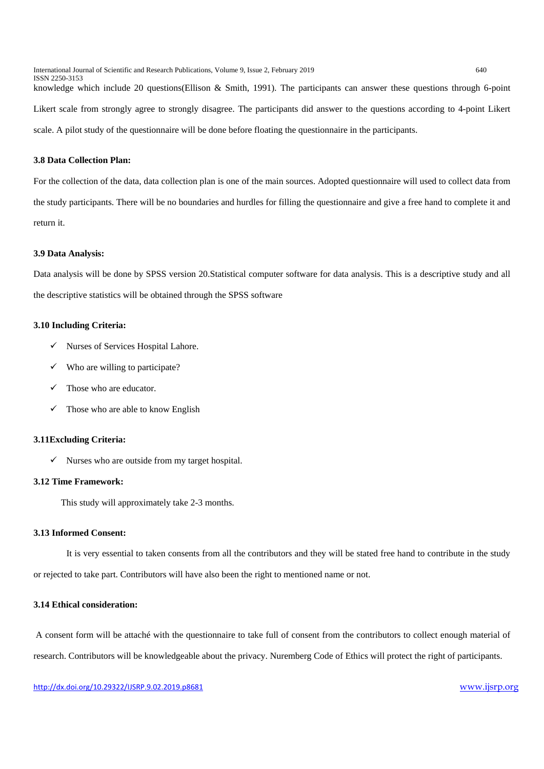International Journal of Scientific and Research Publications, Volume 9, Issue 2, February 2019 640

knowledge which include 20 questions[\(Ellison & Smith, 1991\)](#page-13-2). The participants can answer these questions through 6-point Likert scale from strongly agree to strongly disagree. The participants did answer to the questions according to 4-point Likert scale. A pilot study of the questionnaire will be done before floating the questionnaire in the participants.

## **3.8 Data Collection Plan:**

ISSN 2250-3153

For the collection of the data, data collection plan is one of the main sources. Adopted questionnaire will used to collect data from the study participants. There will be no boundaries and hurdles for filling the questionnaire and give a free hand to complete it and return it.

#### **3.9 Data Analysis:**

Data analysis will be done by SPSS version 20.Statistical computer software for data analysis. This is a descriptive study and all the descriptive statistics will be obtained through the SPSS software

## **3.10 Including Criteria:**

- $\checkmark$  Nurses of Services Hospital Lahore.
- $\checkmark$  Who are willing to participate?
- $\checkmark$  Those who are educator.
- $\checkmark$  Those who are able to know English

## **3.11Excluding Criteria:**

 $\checkmark$  Nurses who are outside from my target hospital.

#### **3.12 Time Framework:**

This study will approximately take 2-3 months.

#### **3.13 Informed Consent:**

It is very essential to taken consents from all the contributors and they will be stated free hand to contribute in the study or rejected to take part. Contributors will have also been the right to mentioned name or not.

### **3.14 Ethical consideration:**

A consent form will be attaché with the questionnaire to take full of consent from the contributors to collect enough material of research. Contributors will be knowledgeable about the privacy. Nuremberg Code of Ethics will protect the right of participants.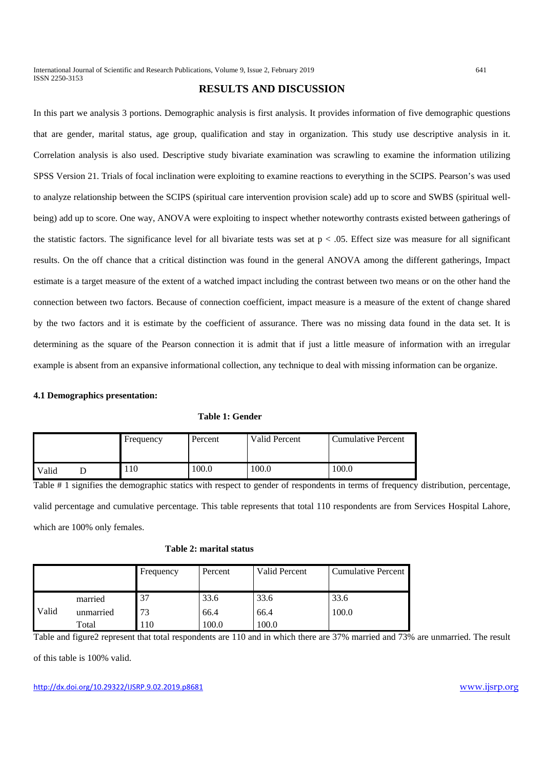# **RESULTS AND DISCUSSION**

In this part we analysis 3 portions. Demographic analysis is first analysis. It provides information of five demographic questions that are gender, marital status, age group, qualification and stay in organization. This study use descriptive analysis in it. Correlation analysis is also used. Descriptive study bivariate examination was scrawling to examine the information utilizing SPSS Version 21. Trials of focal inclination were exploiting to examine reactions to everything in the SCIPS. Pearson's was used to analyze relationship between the SCIPS (spiritual care intervention provision scale) add up to score and SWBS (spiritual wellbeing) add up to score. One way, ANOVA were exploiting to inspect whether noteworthy contrasts existed between gatherings of the statistic factors. The significance level for all bivariate tests was set at  $p < .05$ . Effect size was measure for all significant results. On the off chance that a critical distinction was found in the general ANOVA among the different gatherings, Impact estimate is a target measure of the extent of a watched impact including the contrast between two means or on the other hand the connection between two factors. Because of connection coefficient, impact measure is a measure of the extent of change shared by the two factors and it is estimate by the coefficient of assurance. There was no missing data found in the data set. It is determining as the square of the Pearson connection it is admit that if just a little measure of information with an irregular example is absent from an expansive informational collection, any technique to deal with missing information can be organize.

## **4.1 Demographics presentation:**

|  |  | Table 1: Gender |
|--|--|-----------------|
|--|--|-----------------|

|       | Frequency | Percent | Valid Percent | Cumulative Percent |
|-------|-----------|---------|---------------|--------------------|
| Valid | 10        | 100.0   | 100.0         | 100.0              |

Table # 1 signifies the demographic statics with respect to gender of respondents in terms of frequency distribution, percentage, valid percentage and cumulative percentage. This table represents that total 110 respondents are from Services Hospital Lahore, which are 100% only females.

#### **Table 2: marital status**

|       |           | Frequency | Percent | <b>Valid Percent</b> | <b>Cumulative Percent</b> |
|-------|-----------|-----------|---------|----------------------|---------------------------|
|       |           |           |         |                      |                           |
|       | married   | 37        | 33.6    | 33.6                 | 33.6                      |
| Valid | unmarried | 73        | 66.4    | 66.4                 | 100.0                     |
|       | Total     | 110       | .00.0   | 100.0                |                           |

Table and figure2 represent that total respondents are 110 and in which there are 37% married and 73% are unmarried. The result

of this table is 100% valid.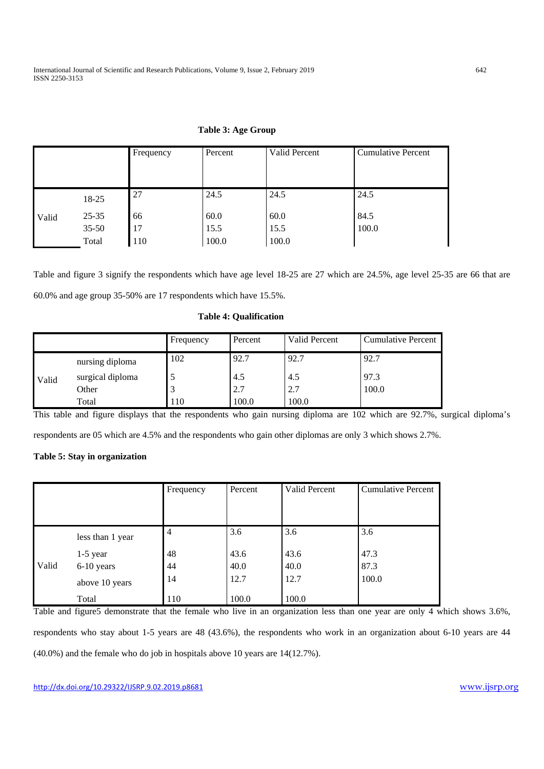## **Table 3: Age Group**

|       |           | Frequency | Percent | Valid Percent | <b>Cumulative Percent</b> |
|-------|-----------|-----------|---------|---------------|---------------------------|
|       |           |           |         |               |                           |
|       | 18-25     | 27        | 24.5    | 24.5          | 24.5                      |
| Valid | $25 - 35$ | 66        | 60.0    | 60.0          | 84.5                      |
|       | $35 - 50$ | 17        | 15.5    | 15.5          | 100.0                     |
|       | Total     | 110       | 100.0   | 100.0         |                           |

Table and figure 3 signify the respondents which have age level 18-25 are 27 which are 24.5%, age level 25-35 are 66 that are 60.0% and age group 35-50% are 17 respondents which have 15.5%.

# **Table 4: Qualification**

|       |                  | Frequency | Percent | Valid Percent | <b>Cumulative Percent</b> |
|-------|------------------|-----------|---------|---------------|---------------------------|
|       | nursing diploma  | 102       | 92.7    | 92.7          | 92.7                      |
| Valid | surgical diploma |           | 4.5     | 4.5           | 97.3                      |
|       | Other            |           | 2.7     | 2.7           | 100.0                     |
|       | Total            | 110       | 100.0   | 100.0         |                           |

This table and figure displays that the respondents who gain nursing diploma are 102 which are 92.7%, surgical diploma's

respondents are 05 which are 4.5% and the respondents who gain other diplomas are only 3 which shows 2.7%.

## **Table 5: Stay in organization**

|       |                  | Frequency      | Percent | Valid Percent | <b>Cumulative Percent</b> |
|-------|------------------|----------------|---------|---------------|---------------------------|
|       |                  |                |         |               |                           |
|       |                  |                |         |               |                           |
|       | less than 1 year | $\overline{4}$ | 3.6     | 3.6           | 3.6                       |
|       | $1-5$ year       | 48             | 43.6    | 43.6          | 47.3                      |
| Valid | 6-10 years       | 44             | 40.0    | 40.0          | 87.3                      |
|       | above 10 years   | 14             | 12.7    | 12.7          | 100.0                     |
|       | Total            | 110            | 100.0   | 100.0         |                           |

Table and figure5 demonstrate that the female who live in an organization less than one year are only 4 which shows 3.6%, respondents who stay about 1-5 years are 48 (43.6%), the respondents who work in an organization about 6-10 years are 44 (40.0%) and the female who do job in hospitals above 10 years are 14(12.7%).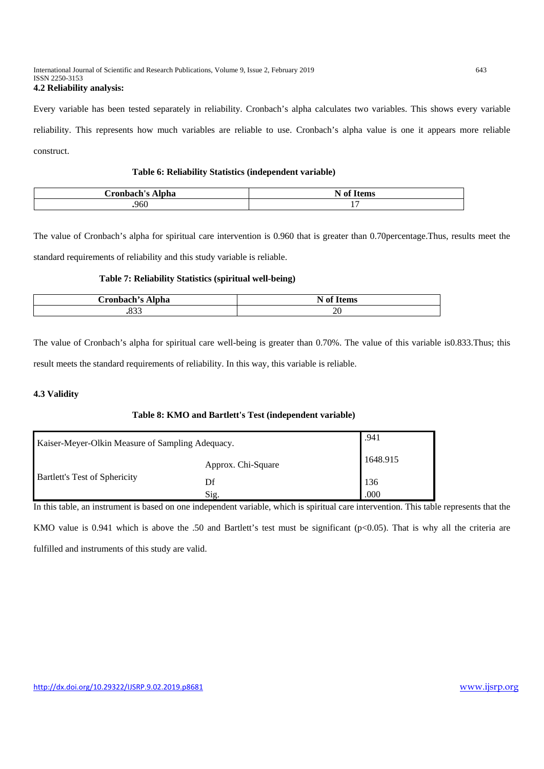#### International Journal of Scientific and Research Publications, Volume 9, Issue 2, February 2019 643 ISSN 2250-3153 **4.2 Reliability analysis:**

Every variable has been tested separately in reliability. Cronbach's alpha calculates two variables. This shows every variable reliability. This represents how much variables are reliable to use. Cronbach's alpha value is one it appears more reliable construct.

## **Table 6: Reliability Statistics (independent variable)**

| <b>ronbach</b><br>Alpha | $\mathbf{a}$<br>$\mathbf{H}$<br>$+$ 03340<br>-ot<br>n<br>TICIII) |
|-------------------------|------------------------------------------------------------------|
| .960                    | -                                                                |

The value of Cronbach's alpha for spiritual care intervention is 0.960 that is greater than 0.70percentage.Thus, results meet the standard requirements of reliability and this study variable is reliable.

## **Table 7: Reliability Statistics (spiritual well-being)**

| Cronbach's L<br>Alpha | $\sim$ $\sim$<br><b>BT</b><br>n<br>лиэ |
|-----------------------|----------------------------------------|
| ה הר                  | $\sim$<br>$\sim$                       |

The value of Cronbach's alpha for spiritual care well-being is greater than 0.70%. The value of this variable is0.833.Thus; this result meets the standard requirements of reliability. In this way, this variable is reliable.

# **4.3 Validity**

# **Table 8: KMO and Bartlett's Test (independent variable)**

| Kaiser-Meyer-Olkin Measure of Sampling Adequacy. | .941               |          |
|--------------------------------------------------|--------------------|----------|
|                                                  | Approx. Chi-Square | 1648.915 |
| <b>Bartlett's Test of Sphericity</b>             | Df                 | 136      |
|                                                  | Sig.               | .000     |

In this table, an instrument is based on one independent variable, which is spiritual care intervention. This table represents that the KMO value is 0.941 which is above the .50 and Bartlett's test must be significant ( $p<0.05$ ). That is why all the criteria are fulfilled and instruments of this study are valid.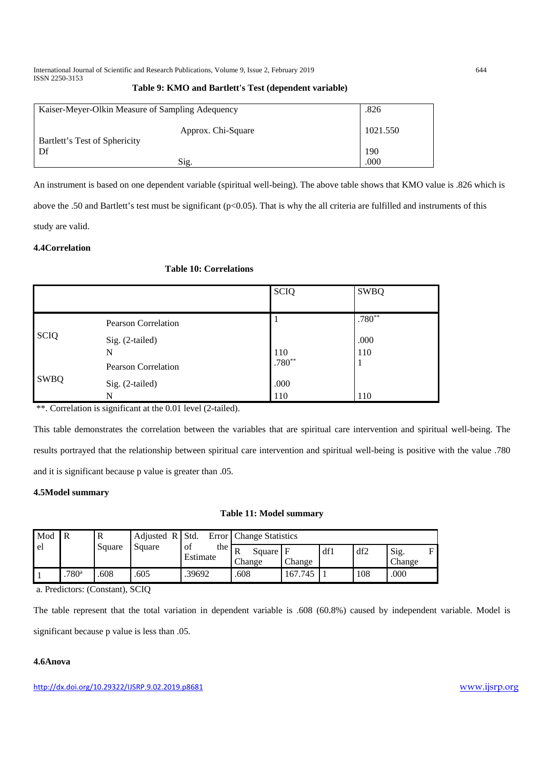International Journal of Scientific and Research Publications, Volume 9, Issue 2, February 2019 644 ISSN 2250-3153

| Table 9: KMO and Bartlett's Test (dependent variable) |  |  |  |
|-------------------------------------------------------|--|--|--|
|-------------------------------------------------------|--|--|--|

| Kaiser-Meyer-Olkin Measure of Sampling Adequency    | .826     |
|-----------------------------------------------------|----------|
| Approx. Chi-Square<br>Bartlett's Test of Sphericity | 1021.550 |
| . Df                                                | 190      |
| Sig.                                                | .000     |

An instrument is based on one dependent variable (spiritual well-being). The above table shows that KMO value is .826 which is above the .50 and Bartlett's test must be significant ( $p<0.05$ ). That is why the all criteria are fulfilled and instruments of this study are valid.

# **4.4Correlation**

# **Table 10: Correlations**

|             |                            | <b>SCIQ</b> | <b>SWBQ</b> |
|-------------|----------------------------|-------------|-------------|
|             | <b>Pearson Correlation</b> |             | $.780**$    |
| <b>SCIQ</b> | Sig. (2-tailed)<br>N       | 110         | .000<br>110 |
|             | <b>Pearson Correlation</b> | $.780**$    | 1           |
| <b>SWBQ</b> | Sig. (2-tailed)<br>N       | .000<br>110 | 110         |

\*\*. Correlation is significant at the 0.01 level (2-tailed).

This table demonstrates the correlation between the variables that are spiritual care intervention and spiritual well-being. The results portrayed that the relationship between spiritual care intervention and spiritual well-being is positive with the value .780 and it is significant because p value is greater than .05.

# **4.5Model summary**

# **Table 11: Model summary**

| Mod<br>el | $\overline{R}$    | Square | Adjusted $R$ Std.<br>Square | of<br>the<br>Estimate | Error Change Statistics |         |     |     |                                |
|-----------|-------------------|--------|-----------------------------|-----------------------|-------------------------|---------|-----|-----|--------------------------------|
|           |                   |        |                             |                       | Square F<br>Change      | Change  | df1 | df2 | $\mathbf{F}$<br>Sig.<br>Change |
|           | .780 <sup>a</sup> | .608   | .605                        | .39692                | .608                    | 167.745 |     | 108 | .000                           |

a. Predictors: (Constant), SCIQ

The table represent that the total variation in dependent variable is .608 (60.8%) caused by independent variable. Model is significant because p value is less than .05.

## **4.6Anova**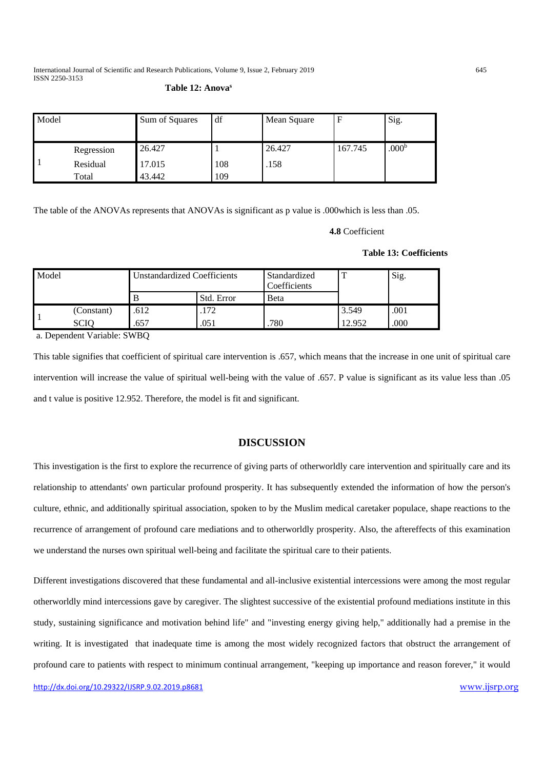International Journal of Scientific and Research Publications, Volume 9, Issue 2, February 2019 645 ISSN 2250-3153

## **Table 12: Anovas**

| Model |            | Sum of Squares | df  | Mean Square |         | Sig.              |
|-------|------------|----------------|-----|-------------|---------|-------------------|
|       |            |                |     |             |         |                   |
|       | Regression | 26.427         |     | 26.427      | 167.745 | .000 <sup>b</sup> |
|       | Residual   | 17.015         | 108 | .158        |         |                   |
|       | Total      | 43.442         | 109 |             |         |                   |

The table of the ANOVAs represents that ANOVAs is significant as p value is .000which is less than .05.

#### **4.8** Coefficient

## **Table 13: Coefficients**

| Model |             | Unstandardized Coefficients |            | Standardized<br>Coefficients |        | Sig. |
|-------|-------------|-----------------------------|------------|------------------------------|--------|------|
|       |             |                             | Std. Error | Beta                         |        |      |
|       | (Constant)  | .612                        | .172       |                              | 3.549  | .001 |
|       | <b>SCIC</b> | .657                        | .051       | .780                         | 12.952 | .000 |

a. Dependent Variable: SWBQ

This table signifies that coefficient of spiritual care intervention is .657, which means that the increase in one unit of spiritual care intervention will increase the value of spiritual well-being with the value of .657. P value is significant as its value less than .05 and t value is positive 12.952. Therefore, the model is fit and significant.

# **DISCUSSION**

This investigation is the first to explore the recurrence of giving parts of otherworldly care intervention and spiritually care and its relationship to attendants' own particular profound prosperity. It has subsequently extended the information of how the person's culture, ethnic, and additionally spiritual association, spoken to by the Muslim medical caretaker populace, shape reactions to the recurrence of arrangement of profound care mediations and to otherworldly prosperity. Also, the aftereffects of this examination we understand the nurses own spiritual well-being and facilitate the spiritual care to their patients.

Different investigations discovered that these fundamental and all-inclusive existential intercessions were among the most regular otherworldly mind intercessions gave by caregiver. The slightest successive of the existential profound mediations institute in this study, sustaining significance and motivation behind life" and "investing energy giving help," additionally had a premise in the writing. It is investigated that inadequate time is among the most widely recognized factors that obstruct the arrangement of profound care to patients with respect to minimum continual arrangement, "keeping up importance and reason forever," it would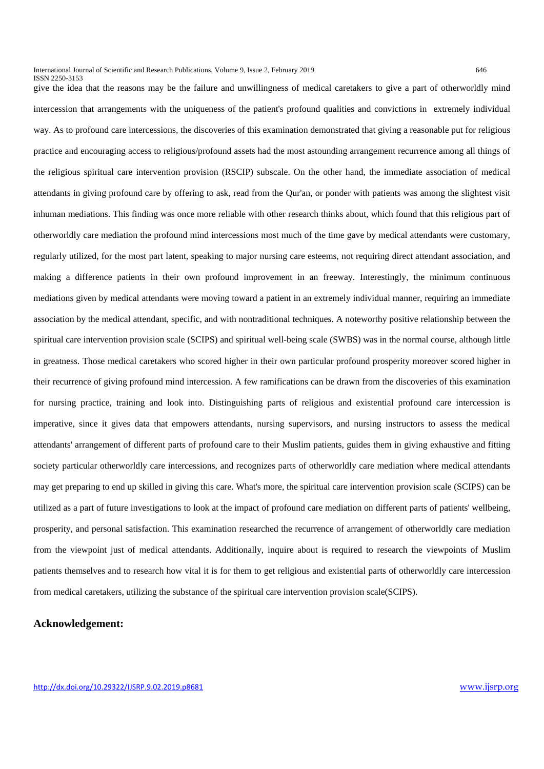ISSN 2250-3153

give the idea that the reasons may be the failure and unwillingness of medical caretakers to give a part of otherworldly mind intercession that arrangements with the uniqueness of the patient's profound qualities and convictions in extremely individual way. As to profound care intercessions, the discoveries of this examination demonstrated that giving a reasonable put for religious practice and encouraging access to religious/profound assets had the most astounding arrangement recurrence among all things of the religious spiritual care intervention provision (RSCIP) subscale. On the other hand, the immediate association of medical attendants in giving profound care by offering to ask, read from the Qur'an, or ponder with patients was among the slightest visit inhuman mediations. This finding was once more reliable with other research thinks about, which found that this religious part of otherworldly care mediation the profound mind intercessions most much of the time gave by medical attendants were customary, regularly utilized, for the most part latent, speaking to major nursing care esteems, not requiring direct attendant association, and making a difference patients in their own profound improvement in an freeway. Interestingly, the minimum continuous mediations given by medical attendants were moving toward a patient in an extremely individual manner, requiring an immediate association by the medical attendant, specific, and with nontraditional techniques. A noteworthy positive relationship between the spiritual care intervention provision scale (SCIPS) and spiritual well-being scale (SWBS) was in the normal course, although little in greatness. Those medical caretakers who scored higher in their own particular profound prosperity moreover scored higher in their recurrence of giving profound mind intercession. A few ramifications can be drawn from the discoveries of this examination for nursing practice, training and look into. Distinguishing parts of religious and existential profound care intercession is imperative, since it gives data that empowers attendants, nursing supervisors, and nursing instructors to assess the medical attendants' arrangement of different parts of profound care to their Muslim patients, guides them in giving exhaustive and fitting society particular otherworldly care intercessions, and recognizes parts of otherworldly care mediation where medical attendants may get preparing to end up skilled in giving this care. What's more, the spiritual care intervention provision scale (SCIPS) can be utilized as a part of future investigations to look at the impact of profound care mediation on different parts of patients' wellbeing, prosperity, and personal satisfaction. This examination researched the recurrence of arrangement of otherworldly care mediation from the viewpoint just of medical attendants. Additionally, inquire about is required to research the viewpoints of Muslim patients themselves and to research how vital it is for them to get religious and existential parts of otherworldly care intercession from medical caretakers, utilizing the substance of the spiritual care intervention provision scale(SCIPS).

# **Acknowledgement:**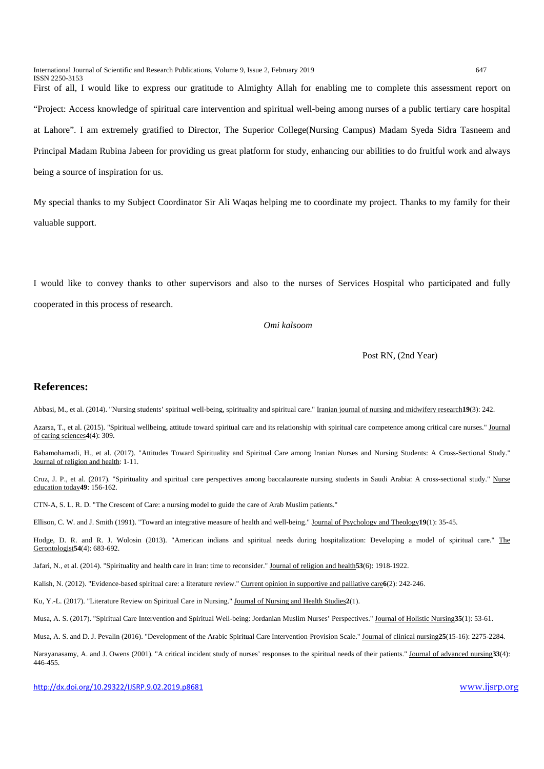International Journal of Scientific and Research Publications, Volume 9, Issue 2, February 2019 647 ISSN 2250-3153 First of all, I would like to express our gratitude to Almighty Allah for enabling me to complete this assessment report on "Project: Access knowledge of spiritual care intervention and spiritual well-being among nurses of a public tertiary care hospital at Lahore". I am extremely gratified to Director, The Superior College(Nursing Campus) Madam Syeda Sidra Tasneem and Principal Madam Rubina Jabeen for providing us great platform for study, enhancing our abilities to do fruitful work and always being a source of inspiration for us.

My special thanks to my Subject Coordinator Sir Ali Waqas helping me to coordinate my project. Thanks to my family for their valuable support.

I would like to convey thanks to other supervisors and also to the nurses of Services Hospital who participated and fully cooperated in this process of research.

#### *Omi kalsoom*

Post RN, (2nd Year)

### **References:**

<span id="page-13-2"></span>Abbasi, M., et al. (2014). "Nursing students' spiritual well-being, spirituality and spiritual care." Iranian journal of nursing and midwifery research**19**(3): 242.

<span id="page-13-0"></span>Azarsa, T., et al. (2015). "Spiritual wellbeing, attitude toward spiritual care and its relationship with spiritual care competence among critical care nurses." Journal of caring sciences**4**(4): 309.

<span id="page-13-6"></span>Babamohamadi, H., et al. (2017). "Attitudes Toward Spirituality and Spiritual Care among Iranian Nurses and Nursing Students: A Cross-Sectional Study." Journal of religion and health: 1-11.

<span id="page-13-10"></span>Cruz, J. P., et al. (2017). "Spirituality and spiritual care perspectives among baccalaureate nursing students in Saudi Arabia: A cross-sectional study." Nurse education today**49**: 156-162.

CTN-A, S. L. R. D. "The Crescent of Care: a nursing model to guide the care of Arab Muslim patients."

Ellison, C. W. and J. Smith (1991). "Toward an integrative measure of health and well-being." Journal of Psychology and Theology**19**(1): 35-45.

<span id="page-13-1"></span>Hodge, D. R. and R. J. Wolosin (2013). "American indians and spiritual needs during hospitalization: Developing a model of spiritual care." The Gerontologist**54**(4): 683-692.

<span id="page-13-9"></span>Jafari, N., et al. (2014). "Spirituality and health care in Iran: time to reconsider." Journal of religion and health**53**(6): 1918-1922.

<span id="page-13-8"></span>Kalish, N. (2012). "Evidence-based spiritual care: a literature review." Current opinion in supportive and palliative care**6**(2): 242-246.

<span id="page-13-7"></span>Ku, Y.-L. (2017). "Literature Review on Spiritual Care in Nursing." Journal of Nursing and Health Studies**2**(1).

<span id="page-13-5"></span>Musa, A. S. (2017). "Spiritual Care Intervention and Spiritual Well-being: Jordanian Muslim Nurses' Perspectives." Journal of Holistic Nursing**35**(1): 53-61.

<span id="page-13-4"></span>Musa, A. S. and D. J. Pevalin (2016). "Development of the Arabic Spiritual Care Intervention-Provision Scale." Journal of clinical nursing**25**(15-16): 2275-2284.

<span id="page-13-3"></span>Narayanasamy, A. and J. Owens (2001). "A critical incident study of nurses' responses to the spiritual needs of their patients." Journal of advanced nursing**33**(4): 446-455.